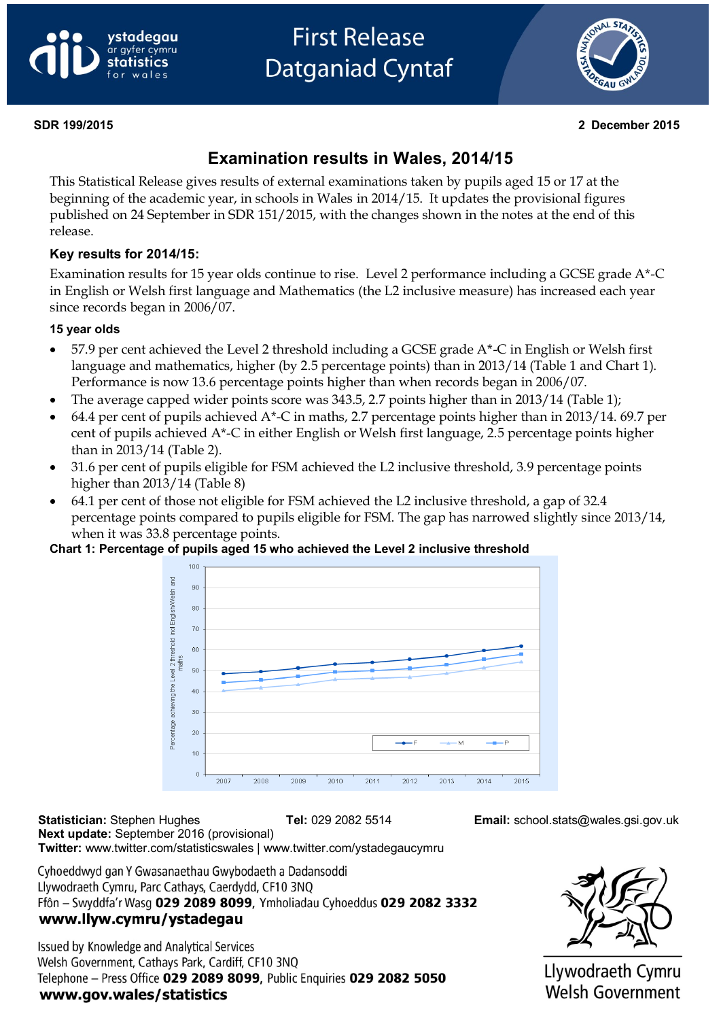



#### **SDR 199/2015 2 December 2015**

# **Examination results in Wales, 2014/15**

This Statistical Release gives results of external examinations taken by pupils aged 15 or 17 at the beginning of the academic year, in schools in Wales in 2014/15. It updates the provisional figures published on 24 September in SDR 151/2015, with the changes shown in the notes at the end of this release.

#### **Key results for 2014/15:**

Examination results for 15 year olds continue to rise. Level 2 performance including a GCSE grade A\*-C in English or Welsh first language and Mathematics (the L2 inclusive measure) has increased each year since records began in 2006/07.

#### **15 year olds**

- 57.9 per cent achieved the Level 2 threshold including a GCSE grade A\*-C in English or Welsh first language and mathematics, higher (by 2.5 percentage points) than in 2013/14 (Table 1 and Chart 1). Performance is now 13.6 percentage points higher than when records began in 2006/07.
- The average capped wider points score was 343.5, 2.7 points higher than in 2013/14 (Table 1);
- 64.4 per cent of pupils achieved A\*-C in maths, 2.7 percentage points higher than in 2013/14. 69.7 per cent of pupils achieved A\*-C in either English or Welsh first language, 2.5 percentage points higher than in 2013/14 (Table 2).
- 31.6 per cent of pupils eligible for FSM achieved the L2 inclusive threshold, 3.9 percentage points higher than 2013/14 (Table 8)
- 64.1 per cent of those not eligible for FSM achieved the L2 inclusive threshold, a gap of 32.4 percentage points compared to pupils eligible for FSM. The gap has narrowed slightly since 2013/14, when it was 33.8 percentage points.

#### **Chart 1: Percentage of pupils aged 15 who achieved the Level 2 inclusive threshold**



**Statistician:** Stephen Hughes **Tel:** 029 2082 5514 **Email:** school.stats@wales.gsi.gov.uk **Next update:** September 2016 (provisional) **Twitter:** www.twitter.com/statisticswales | www.twitter.com/ystadegaucymru

Cyhoeddwyd gan Y Gwasanaethau Gwybodaeth a Dadansoddi Llywodraeth Cymru, Parc Cathays, Caerdydd, CF10 3NO Ffôn - Swyddfa'r Wasg 029 2089 8099, Ymholiadau Cyhoeddus 029 2082 3332 www.llyw.cymru/ystadegau

Issued by Knowledge and Analytical Services Welsh Government, Cathays Park, Cardiff, CF10 3NQ Telephone - Press Office 029 2089 8099, Public Enquiries 029 2082 5050 www.gov.wales/statistics



Llywodraeth Cymru **Welsh Government**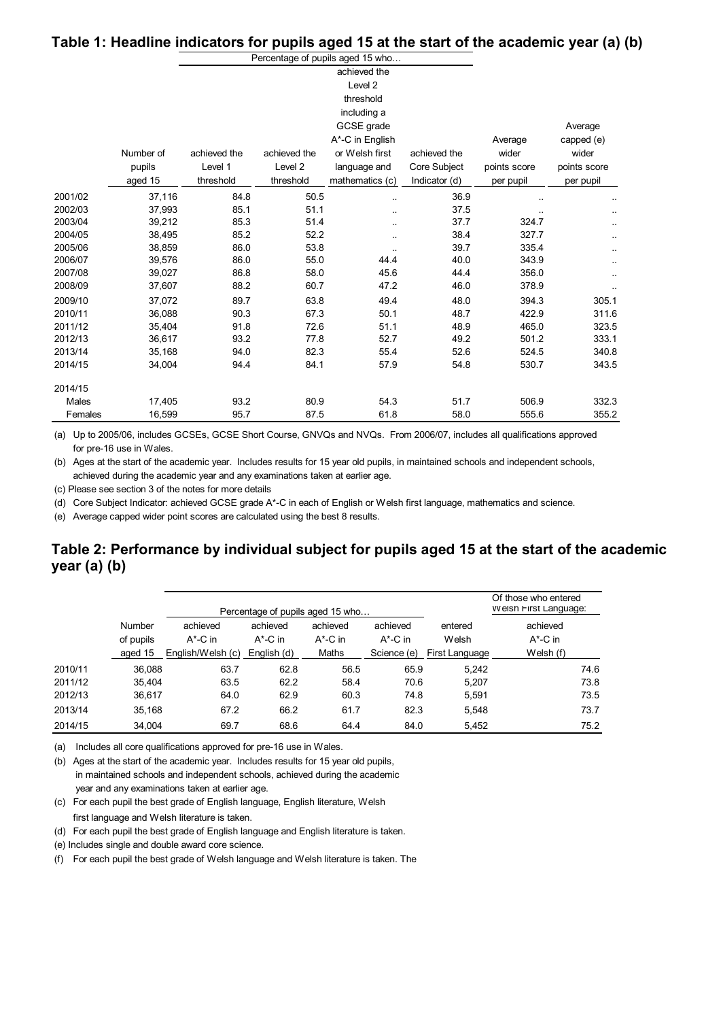#### **Table 1: Headline indicators for pupils aged 15 at the start of the academic year (a) (b)**

|         |           |              |              | Percentage of pupils aged 15 who |               |              |              |
|---------|-----------|--------------|--------------|----------------------------------|---------------|--------------|--------------|
|         |           |              |              | achieved the                     |               |              |              |
|         |           |              |              | Level <sub>2</sub>               |               |              |              |
|         |           |              |              | threshold                        |               |              |              |
|         |           |              |              | including a                      |               |              |              |
|         |           |              |              | GCSE grade                       |               |              | Average      |
|         |           |              |              | A*-C in English                  |               | Average      | capped (e)   |
|         | Number of | achieved the | achieved the | or Welsh first                   | achieved the  | wider        | wider        |
|         | pupils    | Level 1      | Level 2      | language and                     | Core Subject  | points score | points score |
|         | aged 15   | threshold    | threshold    | mathematics (c)                  | Indicator (d) | per pupil    | per pupil    |
| 2001/02 | 37,116    | 84.8         | 50.5         |                                  | 36.9          |              |              |
| 2002/03 | 37,993    | 85.1         | 51.1         |                                  | 37.5          |              |              |
| 2003/04 | 39,212    | 85.3         | 51.4         | $\ddotsc$                        | 37.7          | 324.7        |              |
| 2004/05 | 38,495    | 85.2         | 52.2         | $\ddotsc$                        | 38.4          | 327.7        |              |
| 2005/06 | 38,859    | 86.0         | 53.8         |                                  | 39.7          | 335.4        |              |
| 2006/07 | 39,576    | 86.0         | 55.0         | 44.4                             | 40.0          | 343.9        | ٠.           |
| 2007/08 | 39,027    | 86.8         | 58.0         | 45.6                             | 44.4          | 356.0        | ٠.           |
| 2008/09 | 37,607    | 88.2         | 60.7         | 47.2                             | 46.0          | 378.9        |              |
| 2009/10 | 37,072    | 89.7         | 63.8         | 49.4                             | 48.0          | 394.3        | 305.1        |
| 2010/11 | 36,088    | 90.3         | 67.3         | 50.1                             | 48.7          | 422.9        | 311.6        |
| 2011/12 | 35,404    | 91.8         | 72.6         | 51.1                             | 48.9          | 465.0        | 323.5        |
| 2012/13 | 36,617    | 93.2         | 77.8         | 52.7                             | 49.2          | 501.2        | 333.1        |
| 2013/14 | 35,168    | 94.0         | 82.3         | 55.4                             | 52.6          | 524.5        | 340.8        |
| 2014/15 | 34,004    | 94.4         | 84.1         | 57.9                             | 54.8          | 530.7        | 343.5        |
| 2014/15 |           |              |              |                                  |               |              |              |
| Males   | 17,405    | 93.2         | 80.9         | 54.3                             | 51.7          | 506.9        | 332.3        |
| Females | 16,599    | 95.7         | 87.5         | 61.8                             | 58.0          | 555.6        | 355.2        |

(a) Up to 2005/06, includes GCSEs, GCSE Short Course, GNVQs and NVQs. From 2006/07, includes all qualifications approved for pre-16 use in Wales.

(b) Ages at the start of the academic year. Includes results for 15 year old pupils, in maintained schools and independent schools, achieved during the academic year and any examinations taken at earlier age.

(c) Please see section 3 of the notes for more details

(d) Core Subject Indicator: achieved GCSE grade A\*-C in each of English or Welsh first language, mathematics and science.

(e) Average capped wider point scores are calculated using the best 8 results.

#### **Table 2: Performance by individual subject for pupils aged 15 at the start of the academic year (a) (b)**

|         |           |                   |             | Percentage of pupils aged 15 who |             |                | Of those who entered<br>Weish First Language: |
|---------|-----------|-------------------|-------------|----------------------------------|-------------|----------------|-----------------------------------------------|
|         | Number    | achieved          | achieved    | achieved                         | achieved    | entered        | achieved                                      |
|         | of pupils | $A^*$ -C in       | $A^*$ -C in | $A^*$ -C in                      | $A^*$ -C in | Welsh          | $A^*$ -C in                                   |
|         | aged 15   | English/Welsh (c) | English (d) | Maths                            | Science (e) | First Language | Welsh (f)                                     |
| 2010/11 | 36.088    | 63.7              | 62.8        | 56.5                             | 65.9        | 5.242          | 74.6                                          |
| 2011/12 | 35.404    | 63.5              | 62.2        | 58.4                             | 70.6        | 5.207          | 73.8                                          |
| 2012/13 | 36,617    | 64.0              | 62.9        | 60.3                             | 74.8        | 5,591          | 73.5                                          |
| 2013/14 | 35.168    | 67.2              | 66.2        | 61.7                             | 82.3        | 5,548          | 73.7                                          |
| 2014/15 | 34.004    | 69.7              | 68.6        | 64.4                             | 84.0        | 5.452          | 75.2                                          |

(a) Includes all core qualifications approved for pre-16 use in Wales.

(b) Ages at the start of the academic year. Includes results for 15 year old pupils, in maintained schools and independent schools, achieved during the academic year and any examinations taken at earlier age.

(c) For each pupil the best grade of English language, English literature, Welsh

first language and Welsh literature is taken.

(d) For each pupil the best grade of English language and English literature is taken.

(e) Includes single and double award core science.

(f) For each pupil the best grade of Welsh language and Welsh literature is taken. The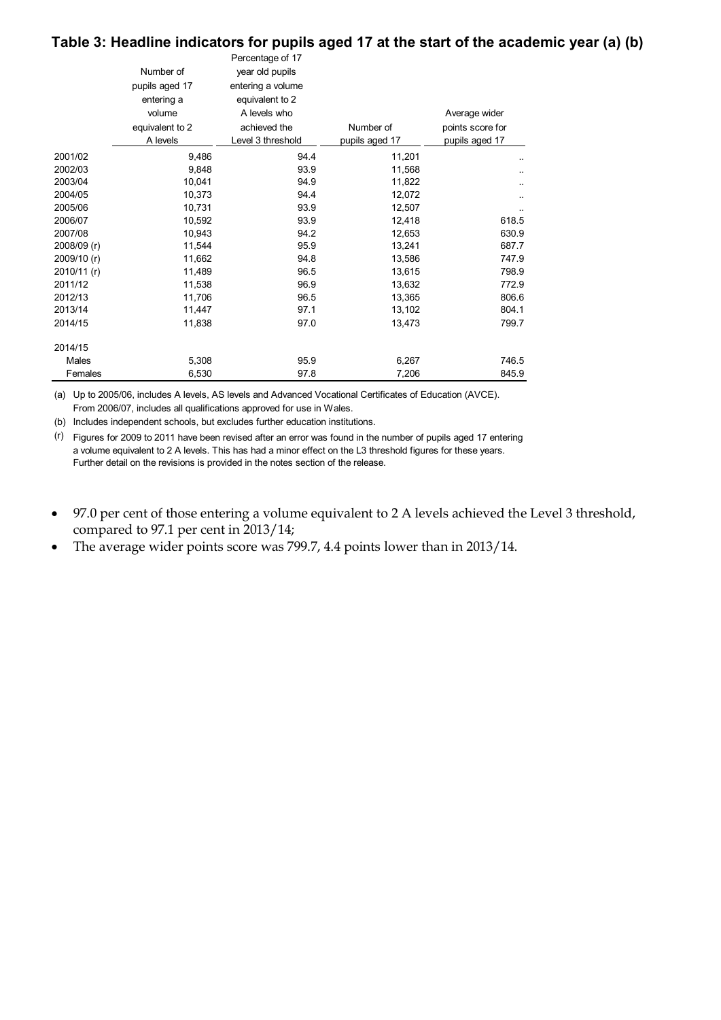### **Table 3: Headline indicators for pupils aged 17 at the start of the academic year (a) (b)**

|             | Number of<br>pupils aged 17<br>entering a<br>volume<br>equivalent to 2<br>A levels | Percentage of 17<br>year old pupils<br>entering a volume<br>equivalent to 2<br>A levels who<br>achieved the<br>Level 3 threshold | Number of<br>pupils aged 17 | Average wider<br>points score for<br>pupils aged 17 |
|-------------|------------------------------------------------------------------------------------|----------------------------------------------------------------------------------------------------------------------------------|-----------------------------|-----------------------------------------------------|
| 2001/02     | 9,486                                                                              | 94.4                                                                                                                             | 11,201                      |                                                     |
| 2002/03     | 9,848                                                                              | 93.9                                                                                                                             | 11,568                      |                                                     |
| 2003/04     | 10,041                                                                             | 94.9                                                                                                                             | 11,822                      |                                                     |
| 2004/05     | 10,373                                                                             | 94.4                                                                                                                             | 12,072                      |                                                     |
| 2005/06     | 10,731                                                                             | 93.9                                                                                                                             | 12,507                      |                                                     |
| 2006/07     | 10.592                                                                             | 93.9                                                                                                                             | 12,418                      | 618.5                                               |
| 2007/08     | 10,943                                                                             | 94.2                                                                                                                             | 12,653                      | 630.9                                               |
| 2008/09 (r) | 11,544                                                                             | 95.9                                                                                                                             | 13,241                      | 687.7                                               |
| 2009/10 (r) | 11,662                                                                             | 94.8                                                                                                                             | 13,586                      | 747.9                                               |
| 2010/11 (r) | 11,489                                                                             | 96.5                                                                                                                             | 13,615                      | 798.9                                               |
| 2011/12     | 11,538                                                                             | 96.9                                                                                                                             | 13,632                      | 772.9                                               |
| 2012/13     | 11,706                                                                             | 96.5                                                                                                                             | 13,365                      | 806.6                                               |
| 2013/14     | 11,447                                                                             | 97.1                                                                                                                             | 13,102                      | 804.1                                               |
| 2014/15     | 11,838                                                                             | 97.0                                                                                                                             | 13,473                      | 799.7                                               |
| 2014/15     |                                                                                    |                                                                                                                                  |                             |                                                     |
| Males       | 5,308                                                                              | 95.9                                                                                                                             | 6,267                       | 746.5                                               |
| Females     | 6,530                                                                              | 97.8                                                                                                                             | 7,206                       | 845.9                                               |

(a) Up to 2005/06, includes A levels, AS levels and Advanced Vocational Certificates of Education (AVCE). From 2006/07, includes all qualifications approved for use in Wales.

(b) Includes independent schools, but excludes further education institutions.

(r) Figures for 2009 to 2011 have been revised after an error was found in the number of pupils aged 17 entering a volume equivalent to 2 A levels. This has had a minor effect on the L3 threshold figures for these years. Further detail on the revisions is provided in the notes section of the release.

• 97.0 per cent of those entering a volume equivalent to 2 A levels achieved the Level 3 threshold, compared to 97.1 per cent in 2013/14;

• The average wider points score was 799.7, 4.4 points lower than in 2013/14.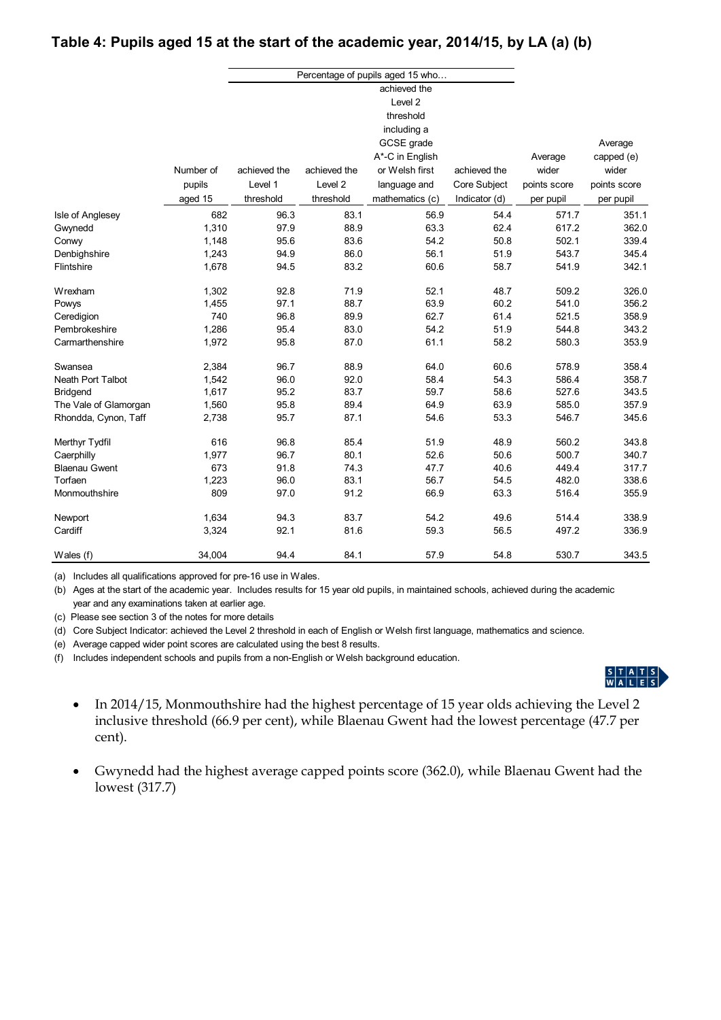# **Table 4: Pupils aged 15 at the start of the academic year, 2014/15, by LA (a) (b)**

|                          |           |              |              | Percentage of pupils aged 15 who |               |              |              |
|--------------------------|-----------|--------------|--------------|----------------------------------|---------------|--------------|--------------|
|                          |           |              |              | achieved the                     |               |              |              |
|                          |           |              |              | Level <sub>2</sub>               |               |              |              |
|                          |           |              |              | threshold                        |               |              |              |
|                          |           |              |              | including a                      |               |              |              |
|                          |           |              |              | GCSE grade                       |               |              | Average      |
|                          |           |              |              | A*-C in English                  |               | Average      | capped (e)   |
|                          | Number of | achieved the | achieved the | or Welsh first                   | achieved the  | wider        | wider        |
|                          | pupils    | Level 1      | Level 2      | language and                     | Core Subject  | points score | points score |
|                          | aged 15   | threshold    | threshold    | mathematics (c)                  | Indicator (d) | per pupil    | per pupil    |
| Isle of Anglesey         | 682       | 96.3         | 83.1         | 56.9                             | 54.4          | 571.7        | 351.1        |
| Gwynedd                  | 1,310     | 97.9         | 88.9         | 63.3                             | 62.4          | 617.2        | 362.0        |
| Conwy                    | 1,148     | 95.6         | 83.6         | 54.2                             | 50.8          | 502.1        | 339.4        |
| Denbighshire             | 1,243     | 94.9         | 86.0         | 56.1                             | 51.9          | 543.7        | 345.4        |
| Flintshire               | 1,678     | 94.5         | 83.2         | 60.6                             | 58.7          | 541.9        | 342.1        |
| Wrexham                  | 1,302     | 92.8         | 71.9         | 52.1                             | 48.7          | 509.2        | 326.0        |
| Powys                    | 1,455     | 97.1         | 88.7         | 63.9                             | 60.2          | 541.0        | 356.2        |
| Ceredigion               | 740       | 96.8         | 89.9         | 62.7                             | 61.4          | 521.5        | 358.9        |
| Pembrokeshire            | 1,286     | 95.4         | 83.0         | 54.2                             | 51.9          | 544.8        | 343.2        |
| Carmarthenshire          | 1,972     | 95.8         | 87.0         | 61.1                             | 58.2          | 580.3        | 353.9        |
| Swansea                  | 2,384     | 96.7         | 88.9         | 64.0                             | 60.6          | 578.9        | 358.4        |
| <b>Neath Port Talbot</b> | 1,542     | 96.0         | 92.0         | 58.4                             | 54.3          | 586.4        | 358.7        |
| Bridgend                 | 1,617     | 95.2         | 83.7         | 59.7                             | 58.6          | 527.6        | 343.5        |
| The Vale of Glamorgan    | 1,560     | 95.8         | 89.4         | 64.9                             | 63.9          | 585.0        | 357.9        |
| Rhondda, Cynon, Taff     | 2,738     | 95.7         | 87.1         | 54.6                             | 53.3          | 546.7        | 345.6        |
| Merthyr Tydfil           | 616       | 96.8         | 85.4         | 51.9                             | 48.9          | 560.2        | 343.8        |
| Caerphilly               | 1,977     | 96.7         | 80.1         | 52.6                             | 50.6          | 500.7        | 340.7        |
| <b>Blaenau Gwent</b>     | 673       | 91.8         | 74.3         | 47.7                             | 40.6          | 449.4        | 317.7        |
| Torfaen                  | 1,223     | 96.0         | 83.1         | 56.7                             | 54.5          | 482.0        | 338.6        |
| Monmouthshire            | 809       | 97.0         | 91.2         | 66.9                             | 63.3          | 516.4        | 355.9        |
| Newport                  | 1,634     | 94.3         | 83.7         | 54.2                             | 49.6          | 514.4        | 338.9        |
| Cardiff                  | 3,324     | 92.1         | 81.6         | 59.3                             | 56.5          | 497.2        | 336.9        |
| Wales (f)                | 34,004    | 94.4         | 84.1         | 57.9                             | 54.8          | 530.7        | 343.5        |

(a) Includes all qualifications approved for pre-16 use in Wales.

(b) Ages at the start of the academic year. Includes results for 15 year old pupils, in maintained schools, achieved during the academic year and any examinations taken at earlier age.

(c) Please see section 3 of the notes for more details

(d) Core Subject Indicator: achieved the Level 2 threshold in each of English or Welsh first language, mathematics and science.

(e) Average capped wider point scores are calculated using the best 8 results.

(f) Includes independent schools and pupils from a non-English or Welsh background education.



- In 2014/15, Monmouthshire had the highest percentage of 15 year olds achieving the Level 2 inclusive threshold (66.9 per cent), while Blaenau Gwent had the lowest percentage (47.7 per cent).
- Gwynedd had the highest average capped points score (362.0), while Blaenau Gwent had the lowest (317.7)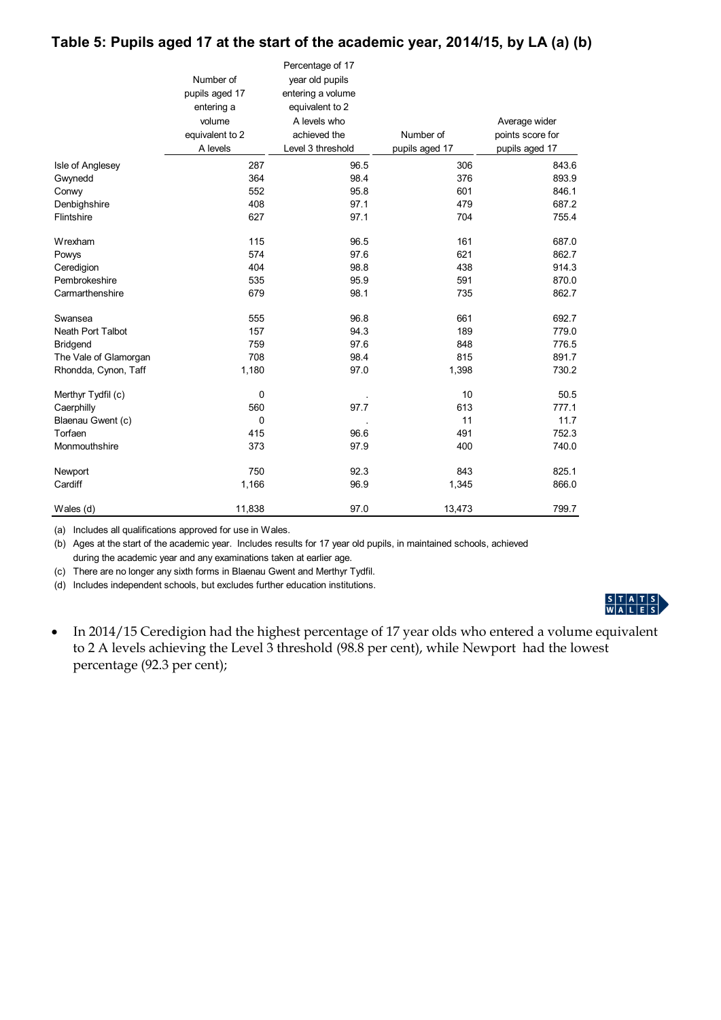## **Table 5: Pupils aged 17 at the start of the academic year, 2014/15, by LA (a) (b)**

|                          |                 | Percentage of 17  |                |                  |
|--------------------------|-----------------|-------------------|----------------|------------------|
|                          | Number of       | year old pupils   |                |                  |
|                          | pupils aged 17  | entering a volume |                |                  |
|                          | entering a      | equivalent to 2   |                |                  |
|                          | volume          | A levels who      |                | Average wider    |
|                          | equivalent to 2 | achieved the      | Number of      | points score for |
|                          | A levels        | Level 3 threshold | pupils aged 17 | pupils aged 17   |
| Isle of Anglesey         | 287             | 96.5              | 306            | 843.6            |
| Gwynedd                  | 364             | 98.4              | 376            | 893.9            |
| Conwy                    | 552             | 95.8              | 601            | 846.1            |
| Denbighshire             | 408             | 97.1              | 479            | 687.2            |
| Flintshire               | 627             | 97.1              | 704            | 755.4            |
| Wrexham                  | 115             | 96.5              | 161            | 687.0            |
| Powys                    | 574             | 97.6              | 621            | 862.7            |
| Ceredigion               | 404             | 98.8              | 438            | 914.3            |
| Pembrokeshire            | 535             | 95.9              | 591            | 870.0            |
| Carmarthenshire          | 679             | 98.1              | 735            | 862.7            |
| Swansea                  | 555             | 96.8              | 661            | 692.7            |
| <b>Neath Port Talbot</b> | 157             | 94.3              | 189            | 779.0            |
| <b>Bridgend</b>          | 759             | 97.6              | 848            | 776.5            |
| The Vale of Glamorgan    | 708             | 98.4              | 815            | 891.7            |
| Rhondda, Cynon, Taff     | 1,180           | 97.0              | 1,398          | 730.2            |
| Merthyr Tydfil (c)       | 0               |                   | 10             | 50.5             |
| Caerphilly               | 560             | 97.7              | 613            | 777.1            |
| Blaenau Gwent (c)        | $\Omega$        |                   | 11             | 11.7             |
| Torfaen                  | 415             | 96.6              | 491            | 752.3            |
| Monmouthshire            | 373             | 97.9              | 400            | 740.0            |
| Newport                  | 750             | 92.3              | 843            | 825.1            |
| Cardiff                  | 1,166           | 96.9              | 1,345          | 866.0            |
| Wales (d)                | 11,838          | 97.0              | 13,473         | 799.7            |

(a) Includes all qualifications approved for use in Wales.

(b) Ages at the start of the academic year. Includes results for 17 year old pupils, in maintained schools, achieved during the academic year and any examinations taken at earlier age.

(c) There are no longer any sixth forms in Blaenau Gwent and Merthyr Tydfil.

(d) Includes independent schools, but excludes further education institutions.



• In 2014/15 Ceredigion had the highest percentage of 17 year olds who entered a volume equivalent to 2 A levels achieving the Level 3 threshold (98.8 per cent), while Newport had the lowest percentage (92.3 per cent);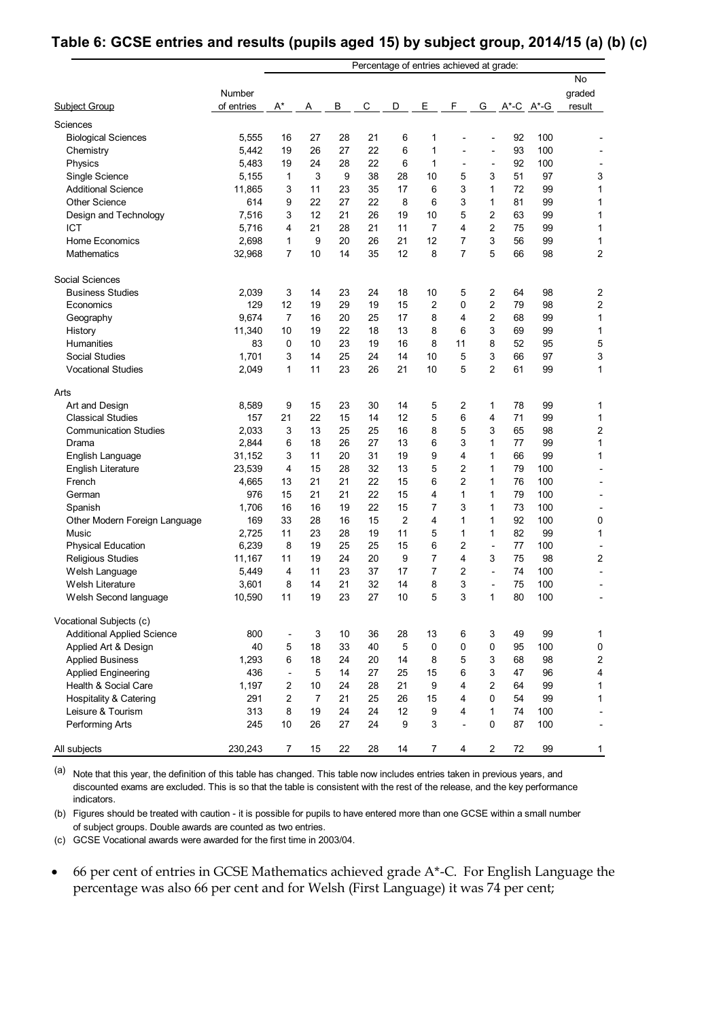## **Table 6: GCSE entries and results (pupils aged 15) by subject group, 2014/15 (a) (b) (c)**

|                                            | Percentage of entries achieved at grade: |                          |                |          |          |                      |                |                |                          |          |                   |                         |
|--------------------------------------------|------------------------------------------|--------------------------|----------------|----------|----------|----------------------|----------------|----------------|--------------------------|----------|-------------------|-------------------------|
| Subject Group                              | Number<br>of entries                     | $A^*$                    | A              | В        | С        | D                    | Ε              | F              | G                        |          | $A^*$ -C $A^*$ -G | No<br>graded<br>result  |
| Sciences                                   |                                          |                          |                |          |          |                      |                |                |                          |          |                   |                         |
| <b>Biological Sciences</b>                 | 5,555                                    | 16                       | 27             | 28       | 21       | 6                    | 1              |                |                          | 92       | 100               |                         |
| Chemistry                                  | 5,442                                    | 19                       | 26             | 27       | 22       | 6                    | 1              |                | $\overline{\phantom{0}}$ | 93       | 100               |                         |
| Physics                                    | 5,483                                    | 19                       | 24             | 28       | 22       | 6                    | 1              |                | $\overline{a}$           | 92       | 100               |                         |
| Single Science                             | 5,155                                    | 1                        | 3              | 9        | 38       | 28                   | 10             | 5              | 3                        | 51       | 97                | 3                       |
| <b>Additional Science</b>                  | 11,865                                   | 3                        | 11             | 23       | 35       | 17                   | 6              | 3              | 1                        | 72       | 99                | 1                       |
| <b>Other Science</b>                       | 614                                      | 9                        | 22             | 27       | 22       | 8                    | 6              | 3              | 1                        | 81       | 99                | 1                       |
| Design and Technology                      | 7,516                                    | 3                        | 12             | 21       | 26       | 19                   | 10             | 5              | 2                        | 63       | 99                | 1                       |
| <b>ICT</b>                                 | 5,716                                    | 4                        | 21             | 28       | 21       | 11                   | $\overline{7}$ | 4              | $\overline{2}$           | 75       | 99                | 1                       |
| <b>Home Economics</b>                      | 2,698                                    | 1                        | 9              | 20       | 26       | 21                   | 12             | $\overline{7}$ | 3                        | 56       | 99                | 1                       |
| Mathematics                                | 32,968                                   | 7                        | 10             | 14       | 35       | 12                   | 8              | $\overline{7}$ | 5                        | 66       | 98                | $\overline{c}$          |
| Social Sciences                            |                                          |                          |                |          |          |                      |                |                |                          |          |                   |                         |
| <b>Business Studies</b>                    | 2,039                                    | 3                        | 14             | 23       | 24       | 18                   | 10             | 5              | 2                        | 64       | 98                | 2                       |
| Economics                                  | 129                                      | 12                       | 19             | 29       | 19       | 15                   | $\overline{2}$ | $\mathbf 0$    | 2                        | 79       | 98                | 2                       |
| Geography                                  | 9,674                                    | 7                        | 16             | 20       | 25       | 17                   | 8              | 4              | 2                        | 68       | 99                | 1                       |
| History                                    | 11,340                                   | 10                       | 19             | 22       | 18       | 13                   | 8              | 6              | 3                        | 69       | 99                | 1                       |
| Humanities                                 | 83                                       | 0                        | 10             | 23       | 19       | 16                   | 8              | 11             | 8                        | 52       | 95                | 5                       |
| <b>Social Studies</b>                      | 1,701                                    | 3                        | 14             | 25       | 24       | 14                   | 10             | 5              | 3                        | 66       | 97                | 3                       |
| <b>Vocational Studies</b>                  | 2,049                                    | 1                        | 11             | 23       | 26       | 21                   | 10             | 5              | $\overline{c}$           | 61       | 99                | 1                       |
| Arts                                       |                                          |                          |                |          |          |                      |                |                |                          |          |                   |                         |
| Art and Design                             | 8,589                                    | 9                        | 15             | 23       | 30       | 14                   | 5              | 2              | 1                        | 78       | 99                | 1                       |
| <b>Classical Studies</b>                   | 157                                      | 21                       | 22             | 15       | 14       | 12                   | 5              | 6              | 4                        | 71       | 99                | 1                       |
| <b>Communication Studies</b>               | 2,033                                    | 3                        | 13             | 25       | 25       | 16                   | 8              | 5              | 3                        | 65       | 98                | $\overline{\mathbf{c}}$ |
| Drama                                      | 2,844                                    | 6                        | 18             | 26       | 27       | 13                   | 6              | 3              | 1                        | 77       | 99                | 1                       |
| English Language                           | 31,152                                   | 3                        | 11             | 20       | 31       | 19                   | 9              | 4              | 1                        | 66       | 99                | 1                       |
| English Literature                         | 23,539                                   | 4                        | 15             | 28       | 32       | 13                   | 5              | $\overline{2}$ | 1                        | 79       | 100               |                         |
| French                                     | 4,665                                    | 13                       | 21             | 21       | 22       | 15                   | 6              | $\overline{2}$ | 1                        | 76       | 100               |                         |
| German                                     | 976                                      | 15                       | 21             | 21       | 22       | 15                   | 4              | 1              | 1                        | 79       | 100               |                         |
| Spanish                                    | 1,706                                    | 16                       | 16             | 19       | 22       | 15                   | 7              | 3              | 1                        | 73       | 100               |                         |
| Other Modern Foreign Language              | 169                                      | 33                       | 28<br>23       | 16       | 15       | $\overline{2}$<br>11 | 4<br>5         | 1<br>1         | 1<br>1                   | 92<br>82 | 100               | 0<br>1                  |
| Music                                      | 2,725<br>6,239                           | 11<br>8                  | 19             | 28<br>25 | 19<br>25 | 15                   | 6              | $\overline{2}$ | $\overline{a}$           | 77       | 99<br>100         |                         |
| <b>Physical Education</b>                  | 11,167                                   | 11                       | 19             | 24       | 20       | 9                    | 7              | 4              | 3                        | 75       | 98                | 2                       |
| <b>Religious Studies</b><br>Welsh Language | 5,449                                    | 4                        | 11             | 23       | 37       | 17                   | 7              | 2              | $\overline{a}$           | 74       | 100               |                         |
| Welsh Literature                           | 3,601                                    | 8                        | 14             | 21       | 32       | 14                   | 8              | 3              |                          | 75       | 100               |                         |
| Welsh Second language                      | 10,590                                   | 11                       | 19             | 23       | 27       | 10                   | 5              | 3              | 1                        | 80       | 100               |                         |
| Vocational Subjects (c)                    |                                          |                          |                |          |          |                      |                |                |                          |          |                   |                         |
| <b>Additional Applied Science</b>          | 800                                      | $\overline{\phantom{a}}$ | 3              | 10       | 36       | 28                   | 13             | 6              | 3                        | 49       | 99                | 1                       |
| Applied Art & Design                       | 40                                       | 5                        | 18             | 33       | 40       | 5                    | $\mathbf 0$    | 0              | 0                        | 95       | 100               | $\pmb{0}$               |
| <b>Applied Business</b>                    | 1,293                                    | 6                        | 18             | 24       | 20       | 14                   | 8              | 5              | 3                        | 68       | 98                | $\mathbf 2$             |
| <b>Applied Engineering</b>                 | 436                                      | $\overline{\phantom{a}}$ | 5              | 14       | 27       | 25                   | 15             | 6              | 3                        | 47       | 96                | 4                       |
| Health & Social Care                       | 1,197                                    | $\overline{2}$           | 10             | 24       | 28       | 21                   | 9              | $\overline{4}$ | $\overline{2}$           | 64       | 99                | 1                       |
| Hospitality & Catering                     | 291                                      | $\overline{2}$           | $\overline{7}$ | 21       | 25       | 26                   | 15             | 4              | 0                        | 54       | 99                | 1                       |
| Leisure & Tourism                          | 313                                      | 8                        | 19             | 24       | 24       | 12                   | 9              | 4              | 1                        | 74       | 100               |                         |
| Performing Arts                            | 245                                      | 10                       | 26             | 27       | 24       | 9                    | 3              |                | 0                        | 87       | 100               |                         |
| All subjects                               | 230,243                                  | $\overline{7}$           | 15             | 22       | 28       | 14                   | $\overline{7}$ | 4              | $\overline{2}$           | $72\,$   | 99                | $\mathbf{1}$            |

(a) Note that this year, the definition of this table has changed. This table now includes entries taken in previous years, and discounted exams are excluded. This is so that the table is consistent with the rest of the release, and the key performance indicators.

(b) Figures should be treated with caution - it is possible for pupils to have entered more than one GCSE within a small number of subject groups. Double awards are counted as two entries.

(c) GCSE Vocational awards were awarded for the first time in 2003/04.

 66 per cent of entries in GCSE Mathematics achieved grade A\*-C. For English Language the percentage was also 66 per cent and for Welsh (First Language) it was 74 per cent;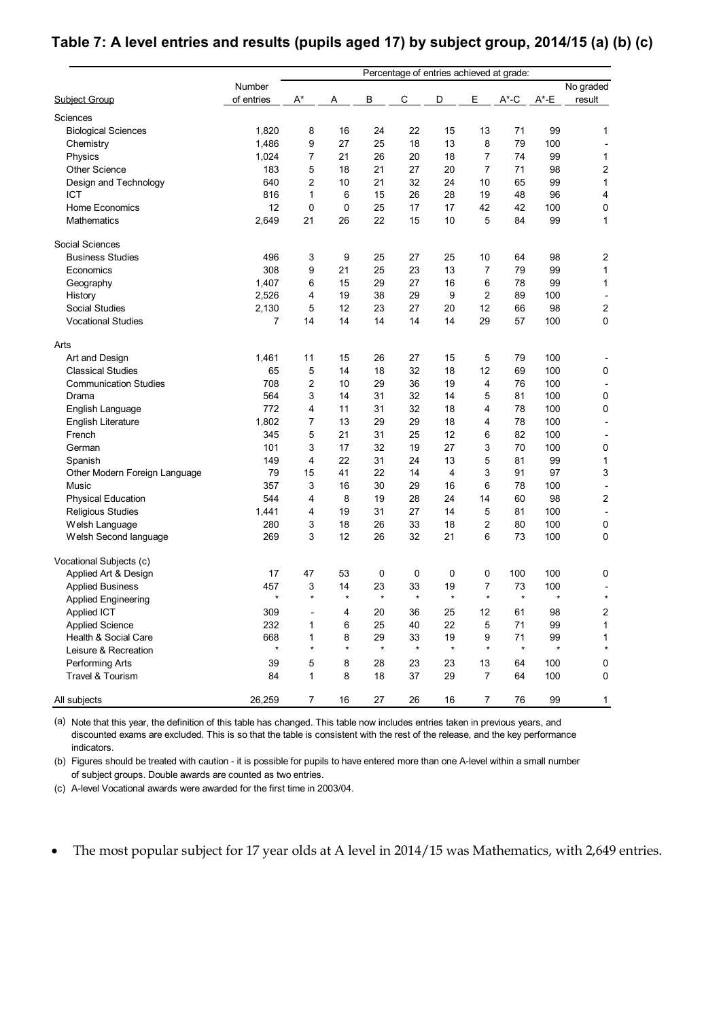# **Table 7: A level entries and results (pupils aged 17) by subject group, 2014/15 (a) (b) (c)**

|                               |            | Percentage of entries achieved at grade: |         |         |         |         |                |          |          |                         |
|-------------------------------|------------|------------------------------------------|---------|---------|---------|---------|----------------|----------|----------|-------------------------|
|                               | Number     |                                          |         |         |         |         |                |          |          | No graded               |
| Subject Group                 | of entries | $A^*$                                    | Α       | В       | C       | D       | Ε              | $A^*$ -C | $A^*$ -E | result                  |
| Sciences                      |            |                                          |         |         |         |         |                |          |          |                         |
| <b>Biological Sciences</b>    | 1,820      | 8                                        | 16      | 24      | 22      | 15      | 13             | 71       | 99       | 1                       |
| Chemistry                     | 1,486      | 9                                        | 27      | 25      | 18      | 13      | 8              | 79       | 100      |                         |
| Physics                       | 1,024      | 7                                        | 21      | 26      | 20      | 18      | 7              | 74       | 99       | 1                       |
| <b>Other Science</b>          | 183        | 5                                        | 18      | 21      | 27      | 20      | 7              | 71       | 98       | $\overline{\mathbf{c}}$ |
| Design and Technology         | 640        | 2                                        | 10      | 21      | 32      | 24      | 10             | 65       | 99       | 1                       |
| <b>ICT</b>                    | 816        | 1                                        | 6       | 15      | 26      | 28      | 19             | 48       | 96       | 4                       |
| <b>Home Economics</b>         | 12         | 0                                        | 0       | 25      | 17      | 17      | 42             | 42       | 100      | 0                       |
| <b>Mathematics</b>            | 2,649      | 21                                       | 26      | 22      | 15      | 10      | 5              | 84       | 99       | $\mathbf{1}$            |
| Social Sciences               |            |                                          |         |         |         |         |                |          |          |                         |
| <b>Business Studies</b>       | 496        | 3                                        | 9       | 25      | 27      | 25      | 10             | 64       | 98       | $\overline{\mathbf{c}}$ |
| Economics                     | 308        | 9                                        | 21      | 25      | 23      | 13      | 7              | 79       | 99       | 1                       |
| Geography                     | 1,407      | 6                                        | 15      | 29      | 27      | 16      | 6              | 78       | 99       | $\mathbf{1}$            |
| History                       | 2,526      | 4                                        | 19      | 38      | 29      | 9       | 2              | 89       | 100      |                         |
| <b>Social Studies</b>         | 2,130      | 5                                        | 12      | 23      | 27      | 20      | 12             | 66       | 98       | $\boldsymbol{2}$        |
| <b>Vocational Studies</b>     | 7          | 14                                       | 14      | 14      | 14      | 14      | 29             | 57       | 100      | 0                       |
| Arts                          |            |                                          |         |         |         |         |                |          |          |                         |
| Art and Design                | 1,461      | 11                                       | 15      | 26      | 27      | 15      | 5              | 79       | 100      |                         |
| <b>Classical Studies</b>      | 65         | 5                                        | 14      | 18      | 32      | 18      | 12             | 69       | 100      | 0                       |
| <b>Communication Studies</b>  | 708        | 2                                        | 10      | 29      | 36      | 19      | 4              | 76       | 100      |                         |
| Drama                         | 564        | 3                                        | 14      | 31      | 32      | 14      | 5              | 81       | 100      | 0                       |
| English Language              | 772        | 4                                        | 11      | 31      | 32      | 18      | 4              | 78       | 100      | 0                       |
| <b>English Literature</b>     | 1,802      | 7                                        | 13      | 29      | 29      | 18      | 4              | 78       | 100      |                         |
| French                        | 345        | 5                                        | 21      | 31      | 25      | 12      | 6              | 82       | 100      |                         |
| German                        | 101        | 3                                        | 17      | 32      | 19      | 27      | 3              | 70       | 100      | 0                       |
| Spanish                       | 149        | 4                                        | 22      | 31      | 24      | 13      | 5              | 81       | 99       | $\mathbf{1}$            |
| Other Modern Foreign Language | 79         | 15                                       | 41      | 22      | 14      | 4       | 3              | 91       | 97       | 3                       |
| Music                         | 357        | 3                                        | 16      | 30      | 29      | 16      | 6              | 78       | 100      |                         |
| <b>Physical Education</b>     | 544        | 4                                        | 8       | 19      | 28      | 24      | 14             | 60       | 98       | 2                       |
| <b>Religious Studies</b>      | 1,441      | 4                                        | 19      | 31      | 27      | 14      | 5              | 81       | 100      |                         |
| Welsh Language                | 280        | 3                                        | 18      | 26      | 33      | 18      | $\overline{2}$ | 80       | 100      | 0                       |
| Welsh Second language         | 269        | 3                                        | 12      | 26      | 32      | 21      | 6              | 73       | 100      | 0                       |
| Vocational Subjects (c)       |            |                                          |         |         |         |         |                |          |          |                         |
| Applied Art & Design          | 17         | 47                                       | 53      | 0       | 0       | 0       | 0              | 100      | 100      | 0                       |
| <b>Applied Business</b>       | 457        | 3                                        | 14      | 23      | 33      | 19      | 7              | 73       | 100      |                         |
| <b>Applied Engineering</b>    | $\star$    | $\star$                                  | $\star$ | $\star$ | $\star$ | $\star$ | $\star$        | $\star$  | $\star$  | $\star$                 |
| Applied ICT                   | 309        | $\overline{a}$                           | 4       | 20      | 36      | 25      | 12             | 61       | 98       | 2                       |
| <b>Applied Science</b>        | 232        | 1                                        | 6       | 25      | 40      | 22      | 5              | 71       | 99       | 1                       |
| Health & Social Care          | 668        | 1                                        | 8       | 29      | 33      | 19      | 9              | 71       | 99       | 1                       |
| Leisure & Recreation          | $\star$    | $\star$                                  | $\star$ | $\star$ | $\star$ | $\star$ | $\star$        | $\star$  | $\star$  |                         |
| Performing Arts               | 39         | 5                                        | 8       | 28      | 23      | 23      | 13             | 64       | 100      | 0                       |
| Travel & Tourism              | 84         | 1                                        | 8       | 18      | 37      | 29      | $\overline{7}$ | 64       | 100      | 0                       |
| All subjects                  | 26,259     | $\overline{7}$                           | 16      | 27      | 26      | 16      | 7              | 76       | 99       | 1                       |

(a) Note that this year, the definition of this table has changed. This table now includes entries taken in previous years, and discounted exams are excluded. This is so that the table is consistent with the rest of the release, and the key performance indicators.

(b) Figures should be treated with caution - it is possible for pupils to have entered more than one A-level within a small number of subject groups. Double awards are counted as two entries.

(c) A-level Vocational awards were awarded for the first time in 2003/04.

The most popular subject for 17 year olds at A level in 2014/15 was Mathematics, with 2,649 entries.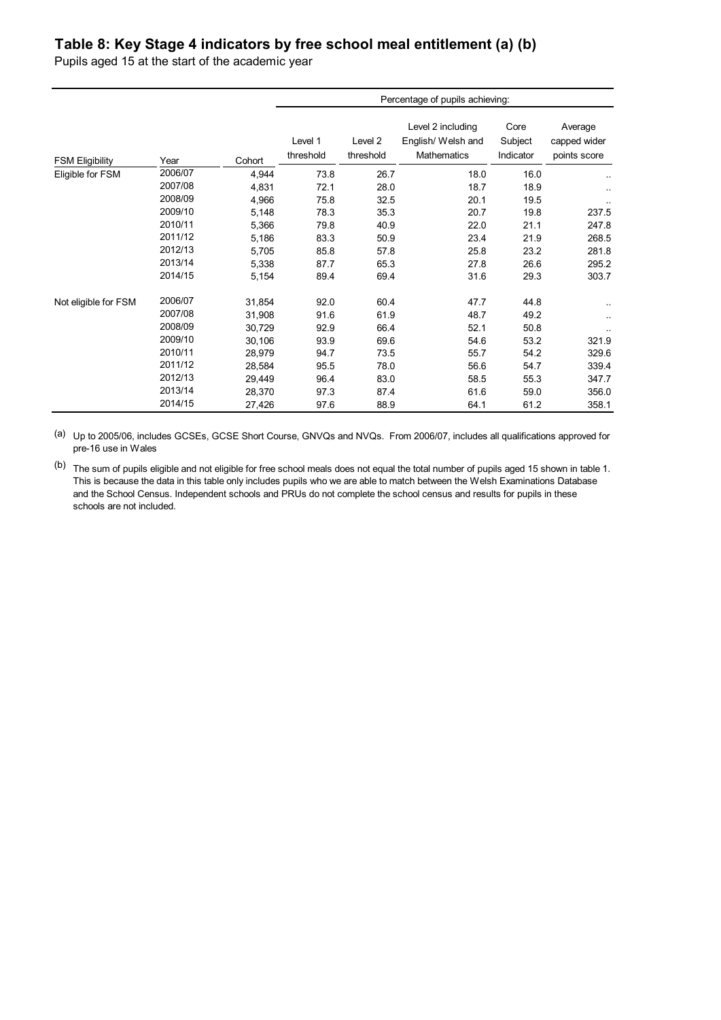# **Table 8: Key Stage 4 indicators by free school meal entitlement (a) (b)**

Pupils aged 15 at the start of the academic year

|                        |         |        | Percentage of pupils achieving: |                      |                                                               |                              |                                         |  |
|------------------------|---------|--------|---------------------------------|----------------------|---------------------------------------------------------------|------------------------------|-----------------------------------------|--|
| <b>FSM Eligibility</b> | Year    | Cohort | Level 1<br>threshold            | Level 2<br>threshold | Level 2 including<br>English/ Welsh and<br><b>Mathematics</b> | Core<br>Subject<br>Indicator | Average<br>capped wider<br>points score |  |
| Eligible for FSM       | 2006/07 | 4,944  | 73.8                            | 26.7                 | 18.0                                                          | 16.0                         |                                         |  |
|                        | 2007/08 | 4,831  | 72.1                            | 28.0                 | 18.7                                                          | 18.9                         | $\ddotsc$                               |  |
|                        | 2008/09 | 4,966  | 75.8                            | 32.5                 | 20.1                                                          | 19.5                         |                                         |  |
|                        | 2009/10 | 5,148  | 78.3                            | 35.3                 | 20.7                                                          | 19.8                         | 237.5                                   |  |
|                        | 2010/11 | 5,366  | 79.8                            | 40.9                 | 22.0                                                          | 21.1                         | 247.8                                   |  |
|                        | 2011/12 | 5,186  | 83.3                            | 50.9                 | 23.4                                                          | 21.9                         | 268.5                                   |  |
|                        | 2012/13 | 5,705  | 85.8                            | 57.8                 | 25.8                                                          | 23.2                         | 281.8                                   |  |
|                        | 2013/14 | 5,338  | 87.7                            | 65.3                 | 27.8                                                          | 26.6                         | 295.2                                   |  |
|                        | 2014/15 | 5,154  | 89.4                            | 69.4                 | 31.6                                                          | 29.3                         | 303.7                                   |  |
| Not eligible for FSM   | 2006/07 | 31,854 | 92.0                            | 60.4                 | 47.7                                                          | 44.8                         |                                         |  |
|                        | 2007/08 | 31,908 | 91.6                            | 61.9                 | 48.7                                                          | 49.2                         |                                         |  |
|                        | 2008/09 | 30,729 | 92.9                            | 66.4                 | 52.1                                                          | 50.8                         |                                         |  |
|                        | 2009/10 | 30,106 | 93.9                            | 69.6                 | 54.6                                                          | 53.2                         | 321.9                                   |  |
|                        | 2010/11 | 28,979 | 94.7                            | 73.5                 | 55.7                                                          | 54.2                         | 329.6                                   |  |
|                        | 2011/12 | 28,584 | 95.5                            | 78.0                 | 56.6                                                          | 54.7                         | 339.4                                   |  |
|                        | 2012/13 | 29,449 | 96.4                            | 83.0                 | 58.5                                                          | 55.3                         | 347.7                                   |  |
|                        | 2013/14 | 28,370 | 97.3                            | 87.4                 | 61.6                                                          | 59.0                         | 356.0                                   |  |
|                        | 2014/15 | 27,426 | 97.6                            | 88.9                 | 64.1                                                          | 61.2                         | 358.1                                   |  |

(a) Up to 2005/06, includes GCSEs, GCSE Short Course, GNVQs and NVQs. From 2006/07, includes all qualifications approved for pre-16 use in Wales

(b) The sum of pupils eligible and not eligible for free school meals does not equal the total number of pupils aged 15 shown in table 1. This is because the data in this table only includes pupils who we are able to match between the Welsh Examinations Database and the School Census. Independent schools and PRUs do not complete the school census and results for pupils in these schools are not included.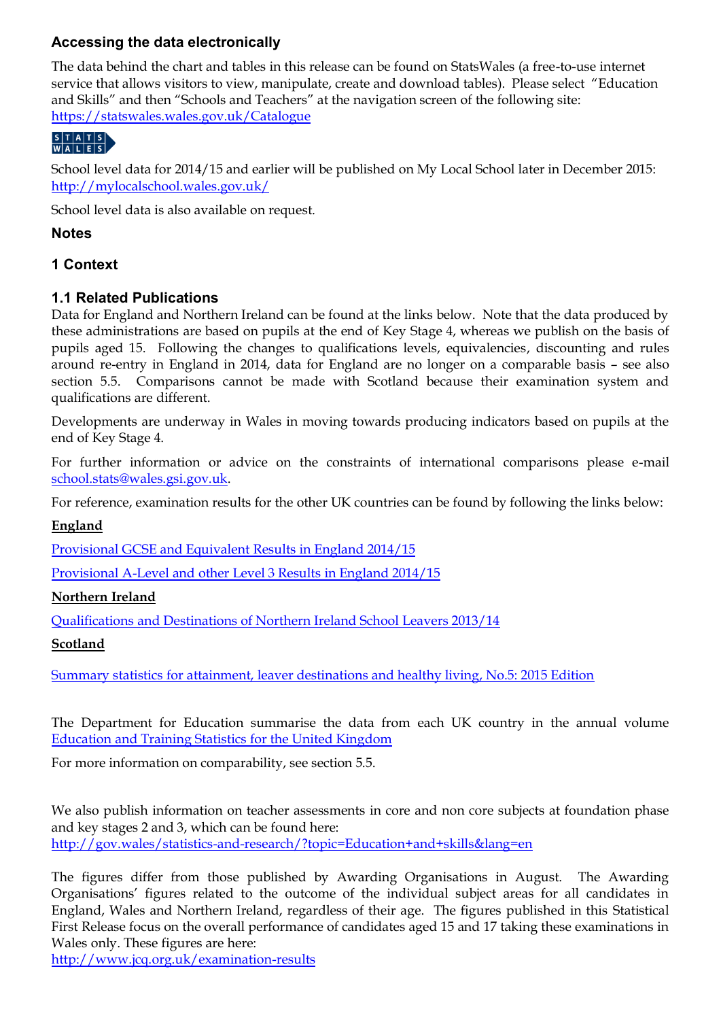# **Accessing the data electronically**

The data behind the chart and tables in this release can be found on StatsWales (a free-to-use internet service that allows visitors to view, manipulate, create and download tables). Please select "Education and Skills" and then "Schools and Teachers" at the navigation screen of the following site: <https://statswales.wales.gov.uk/Catalogue>

School level data for 2014/15 and earlier will be published on My Local School later in December 2015: <http://mylocalschool.wales.gov.uk/>

School level data is also available on request.

# **Notes**

# **1 Context**

# **1.1 Related Publications**

Data for England and Northern Ireland can be found at the links below. Note that the data produced by these administrations are based on pupils at the end of Key Stage 4, whereas we publish on the basis of pupils aged 15. Following the changes to qualifications levels, equivalencies, discounting and rules around re-entry in England in 2014, data for England are no longer on a comparable basis – see also section 5.5. Comparisons cannot be made with Scotland because their examination system and qualifications are different.

Developments are underway in Wales in moving towards producing indicators based on pupils at the end of Key Stage 4.

For further information or advice on the constraints of international comparisons please e-mail [school.stats@wales.gsi.gov.uk.](mailto:school.stats@wales.gsi.gov.uk)

For reference, examination results for the other UK countries can be found by following the links below:

#### **England**

[Provisional GCSE and Equivalent Results in England 2014/15](https://www.gov.uk/government/statistics/provisional-gcse-and-equivalent-results-in-england-2014-to-2015)

[Provisional A-Level and other Level 3 Results in England 2014/15](https://www.gov.uk/government/statistics/a-level-and-other-level-3-results-2014-to-2015-provisional)

#### **Northern Ireland**

[Qualifications and Destinations of Northern Ireland School Leavers 2013/14](http://www.deni.gov.uk/index/32-statisticsandresearch_pg/32_statistical_publications-indexofstatisticalpublications_pg/32_statistical_publications_pressreleases_pg/32_national_statistics_school_leavers_pg.htm)

# **Scotland**

[Summary statistics for attainment, leaver destinations and healthy living, No.5: 2015 Edition](http://www.gov.scot/Publications/2015/06/2579)

The Department for Education summarise the data from each UK country in the annual volume [Education and Training Statistics for the United Kingdom](https://www.gov.uk/government/statistics/education-and-training-statistics-for-the-united-kingdom-2015)

For more information on comparability, see section 5.5.

We also publish information on teacher assessments in core and non core subjects at foundation phase and key stages 2 and 3, which can be found here: <http://gov.wales/statistics-and-research/?topic=Education+and+skills&lang=en>

The figures differ from those published by Awarding Organisations in August. The Awarding Organisations' figures related to the outcome of the individual subject areas for all candidates in England, Wales and Northern Ireland, regardless of their age. The figures published in this Statistical First Release focus on the overall performance of candidates aged 15 and 17 taking these examinations in Wales only. These figures are here:

<http://www.jcq.org.uk/examination-results>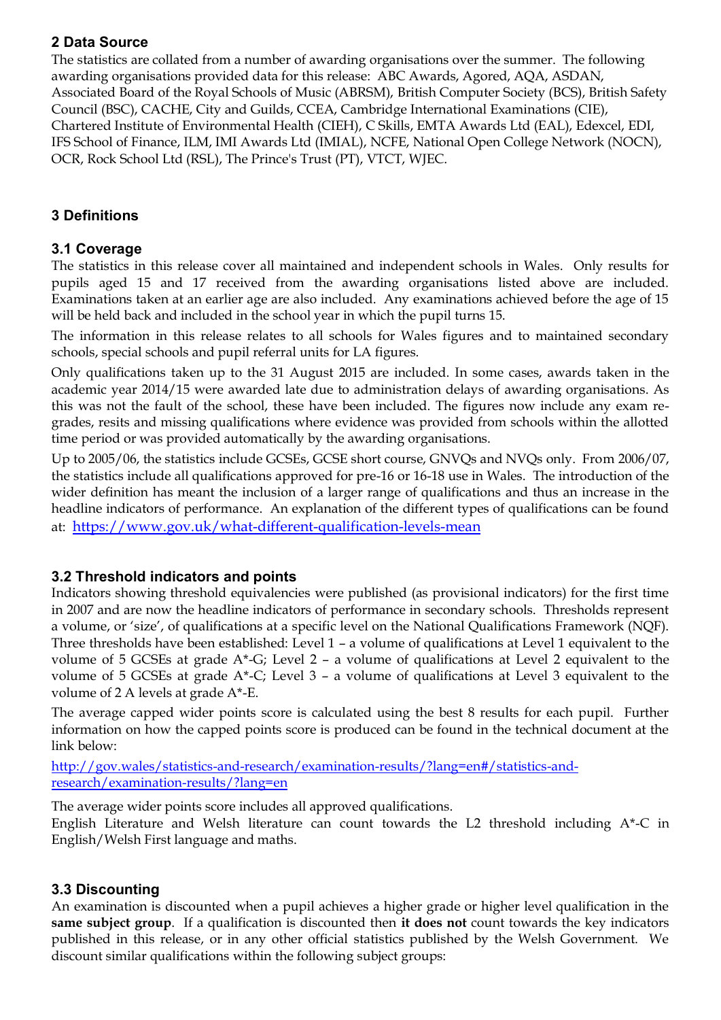# **2 Data Source**

The statistics are collated from a number of awarding organisations over the summer. The following awarding organisations provided data for this release: ABC Awards, Agored, AQA, ASDAN, Associated Board of the Royal Schools of Music (ABRSM), British Computer Society (BCS), British Safety Council (BSC), CACHE, City and Guilds, CCEA, Cambridge International Examinations (CIE), Chartered Institute of Environmental Health (CIEH), C Skills, EMTA Awards Ltd (EAL), Edexcel, EDI, IFS School of Finance, ILM, IMI Awards Ltd (IMIAL), NCFE, National Open College Network (NOCN), OCR, Rock School Ltd (RSL), The Prince's Trust (PT), VTCT, WJEC.

# **3 Definitions**

## **3.1 Coverage**

The statistics in this release cover all maintained and independent schools in Wales. Only results for pupils aged 15 and 17 received from the awarding organisations listed above are included. Examinations taken at an earlier age are also included. Any examinations achieved before the age of 15 will be held back and included in the school year in which the pupil turns 15.

The information in this release relates to all schools for Wales figures and to maintained secondary schools, special schools and pupil referral units for LA figures.

Only qualifications taken up to the 31 August 2015 are included. In some cases, awards taken in the academic year 2014/15 were awarded late due to administration delays of awarding organisations. As this was not the fault of the school, these have been included. The figures now include any exam regrades, resits and missing qualifications where evidence was provided from schools within the allotted time period or was provided automatically by the awarding organisations.

Up to 2005/06, the statistics include GCSEs, GCSE short course, GNVQs and NVQs only. From 2006/07, the statistics include all qualifications approved for pre-16 or 16-18 use in Wales. The introduction of the wider definition has meant the inclusion of a larger range of qualifications and thus an increase in the headline indicators of performance. An explanation of the different types of qualifications can be found at: <https://www.gov.uk/what-different-qualification-levels-mean>

# **3.2 Threshold indicators and points**

Indicators showing threshold equivalencies were published (as provisional indicators) for the first time in 2007 and are now the headline indicators of performance in secondary schools. Thresholds represent a volume, or 'size', of qualifications at a specific level on the National Qualifications Framework (NQF). Three thresholds have been established: Level 1 – a volume of qualifications at Level 1 equivalent to the volume of 5 GCSEs at grade A\*-G; Level 2 – a volume of qualifications at Level 2 equivalent to the volume of 5 GCSEs at grade A\*-C; Level 3 – a volume of qualifications at Level 3 equivalent to the volume of 2 A levels at grade A\*-E.

The average capped wider points score is calculated using the best 8 results for each pupil. Further information on how the capped points score is produced can be found in the technical document at the link below:

[http://gov.wales/statistics-and-research/examination-results/?lang=en#/statistics-and](http://gov.wales/statistics-and-research/examination-results/?lang=en#/statistics-and-research/examination-results/?lang=en)[research/examination-results/?lang=en](http://gov.wales/statistics-and-research/examination-results/?lang=en#/statistics-and-research/examination-results/?lang=en)

The average wider points score includes all approved qualifications.

English Literature and Welsh literature can count towards the L2 threshold including A\*-C in English/Welsh First language and maths.

# **3.3 Discounting**

An examination is discounted when a pupil achieves a higher grade or higher level qualification in the **same subject group**. If a qualification is discounted then **it does not** count towards the key indicators published in this release, or in any other official statistics published by the Welsh Government. We discount similar qualifications within the following subject groups: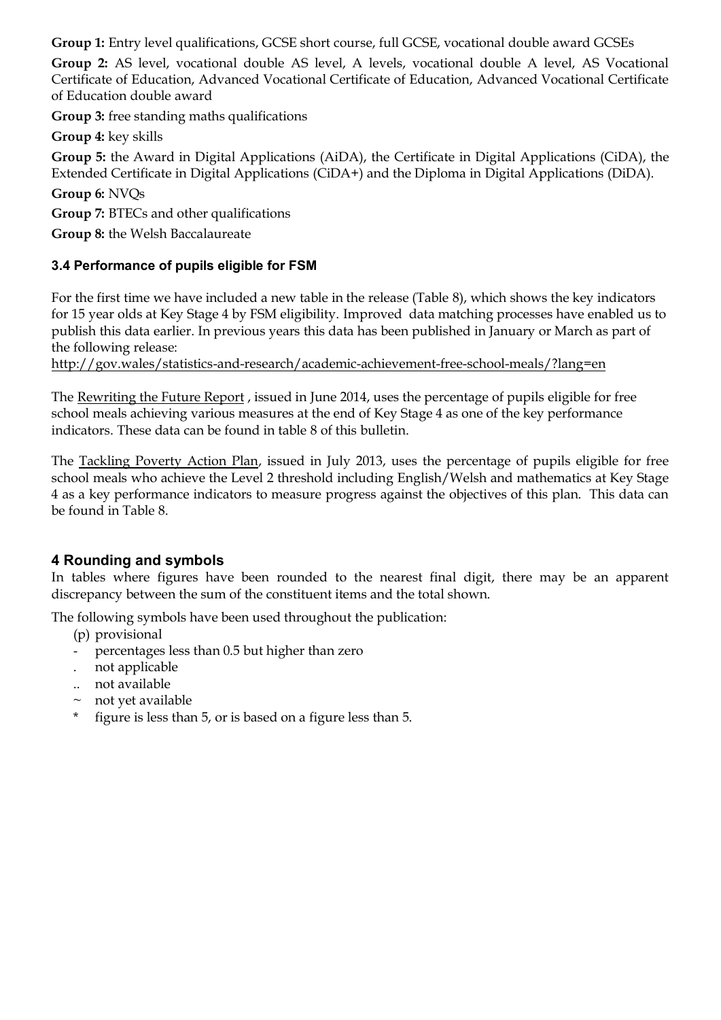**Group 1:** Entry level qualifications, GCSE short course, full GCSE, vocational double award GCSEs

**Group 2:** AS level, vocational double AS level, A levels, vocational double A level, AS Vocational Certificate of Education, Advanced Vocational Certificate of Education, Advanced Vocational Certificate of Education double award

**Group 3:** free standing maths qualifications

**Group 4:** key skills

**Group 5:** the Award in Digital Applications (AiDA), the Certificate in Digital Applications (CiDA), the Extended Certificate in Digital Applications (CiDA+) and the Diploma in Digital Applications (DiDA).

**Group 6:** NVQs

**Group 7:** BTECs and other qualifications

**Group 8:** the Welsh Baccalaureate

## **3.4 Performance of pupils eligible for FSM**

For the first time we have included a new table in the release (Table 8), which shows the key indicators for 15 year olds at Key Stage 4 by FSM eligibility. Improved data matching processes have enabled us to publish this data earlier. In previous years this data has been published in January or March as part of the following release:

<http://gov.wales/statistics-and-research/academic-achievement-free-school-meals/?lang=en>

The [Rewriting the Future Report](http://gov.wales/topics/educationandskills/schoolshome/raisingstandards/rewriting-the-future-schools/?lang=en) , issued in June 2014, uses the percentage of pupils eligible for free school meals achieving various measures at the end of Key Stage 4 as one of the key performance indicators. These data can be found in table 8 of this bulletin.

The [Tackling Poverty Action Plan,](http://gov.wales/topics/people-and-communities/tacklingpoverty/publications/taking-forward-tack-pov-plan/?lang=en) issued in July 2013, uses the percentage of pupils eligible for free school meals who achieve the Level 2 threshold including English/Welsh and mathematics at Key Stage 4 as a key performance indicators to measure progress against the objectives of this plan. This data can be found in Table 8.

# **4 Rounding and symbols**

In tables where figures have been rounded to the nearest final digit, there may be an apparent discrepancy between the sum of the constituent items and the total shown.

The following symbols have been used throughout the publication:

(p) provisional

- percentages less than 0.5 but higher than zero
- . not applicable
- .. not available
- $\sim$  not yet available
- figure is less than 5, or is based on a figure less than 5.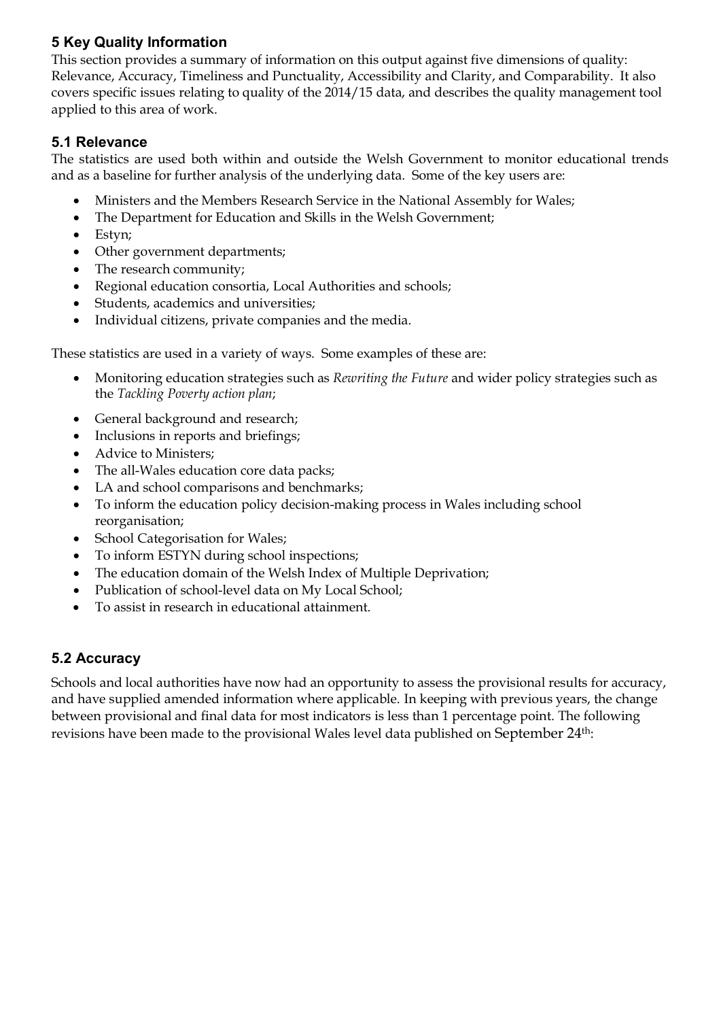# **5 Key Quality Information**

This section provides a summary of information on this output against five dimensions of quality: Relevance, Accuracy, Timeliness and Punctuality, Accessibility and Clarity, and Comparability. It also covers specific issues relating to quality of the 2014/15 data, and describes the quality management tool applied to this area of work.

# **5.1 Relevance**

The statistics are used both within and outside the Welsh Government to monitor educational trends and as a baseline for further analysis of the underlying data. Some of the key users are:

- Ministers and the Members Research Service in the National Assembly for Wales;
- The Department for Education and Skills in the Welsh Government;
- Estyn;
- Other government departments;
- The research community;
- Regional education consortia, Local Authorities and schools;
- Students, academics and universities;
- Individual citizens, private companies and the media.

These statistics are used in a variety of ways. Some examples of these are:

- Monitoring education strategies such as *Rewriting the Future* and wider policy strategies such as the *Tackling Poverty action plan*;
- General background and research;
- Inclusions in reports and briefings;
- Advice to Ministers;
- The all-Wales education core data packs;
- LA and school comparisons and benchmarks;
- To inform the education policy decision-making process in Wales including school reorganisation;
- School Categorisation for Wales;
- To inform ESTYN during school inspections;
- The education domain of the Welsh Index of Multiple Deprivation;
- Publication of school-level data on My Local School;
- To assist in research in educational attainment.

# **5.2 Accuracy**

Schools and local authorities have now had an opportunity to assess the provisional results for accuracy, and have supplied amended information where applicable. In keeping with previous years, the change between provisional and final data for most indicators is less than 1 percentage point. The following revisions have been made to the provisional Wales level data published on September 24<sup>th</sup>: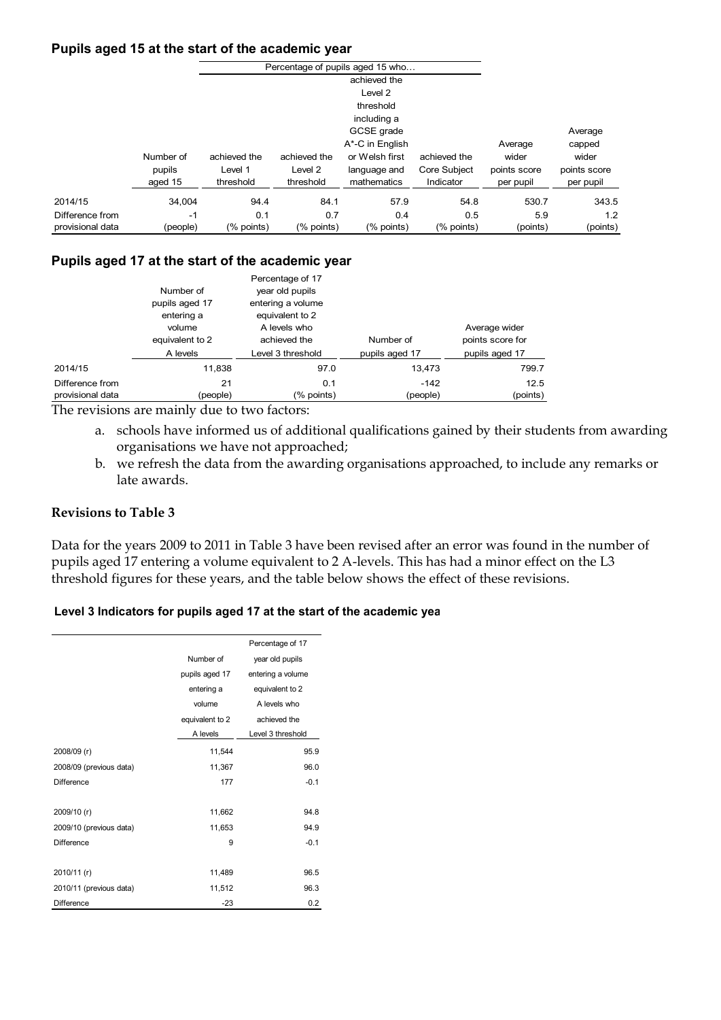#### **Pupils aged 15 at the start of the academic year**

|                  |           |              |              | Percentage of pupils aged 15 who |              |              |              |
|------------------|-----------|--------------|--------------|----------------------------------|--------------|--------------|--------------|
|                  |           |              |              | achieved the                     |              |              |              |
|                  |           |              |              | Level 2                          |              |              |              |
|                  |           |              |              | threshold                        |              |              |              |
|                  |           |              |              | including a                      |              |              |              |
|                  |           |              |              | GCSE grade                       |              |              | Average      |
|                  |           |              |              | A*-C in English                  |              | Average      | capped       |
|                  | Number of | achieved the | achieved the | or Welsh first                   | achieved the | wider        | wider        |
|                  | pupils    | Level 1      | Level 2      | language and                     | Core Subject | points score | points score |
|                  | aged 15   | threshold    | threshold    | mathematics                      | Indicator    | per pupil    | per pupil    |
| 2014/15          | 34.004    | 94.4         | 84.1         | 57.9                             | 54.8         | 530.7        | 343.5        |
| Difference from  | $-1$      | 0.1          | 0.7          | 0.4                              | 0.5          | 5.9          | 1.2          |
| provisional data | (people)  | $%$ points)  | $%$ points)  | (% points)                       | (% points)   | (points)     | (points)     |

#### **Pupils aged 17 at the start of the academic year**

|                                     | Number of<br>pupils aged 17<br>entering a<br>volume<br>equivalent to 2 | Percentage of 17<br>year old pupils<br>entering a volume<br>equivalent to 2<br>A levels who<br>achieved the | Number of          | Average wider<br>points score for |
|-------------------------------------|------------------------------------------------------------------------|-------------------------------------------------------------------------------------------------------------|--------------------|-----------------------------------|
|                                     | A levels                                                               | Level 3 threshold                                                                                           | pupils aged 17     | pupils aged 17                    |
| 2014/15                             | 11.838                                                                 | 97.0                                                                                                        | 13,473             | 799.7                             |
| Difference from<br>provisional data | 21<br>(people)                                                         | 0.1<br>(% points)                                                                                           | $-142$<br>(people) | 12.5<br>(points)                  |

The revisions are mainly due to two factors:

- a. schools have informed us of additional qualifications gained by their students from awarding organisations we have not approached;
- b. we refresh the data from the awarding organisations approached, to include any remarks or late awards.

#### **Revisions to Table 3**

Data for the years 2009 to 2011 in Table 3 have been revised after an error was found in the number of pupils aged 17 entering a volume equivalent to 2 A-levels. This has had a minor effect on the L3 threshold figures for these years, and the table below shows the effect of these revisions.

#### **Level 3 Indicators for pupils aged 17 at the start of the academic year**

|                         |                 | Percentage of 17  |
|-------------------------|-----------------|-------------------|
|                         | Number of       | year old pupils   |
|                         | pupils aged 17  | entering a volume |
|                         | entering a      | equivalent to 2   |
|                         | volume          | A levels who      |
|                         | equivalent to 2 | achieved the      |
|                         | A levels        | Level 3 threshold |
| 2008/09 (r)             | 11,544          | 95.9              |
| 2008/09 (previous data) | 11,367          | 96.0              |
| <b>Difference</b>       | 177             | $-0.1$            |
|                         |                 |                   |
| 2009/10 (r)             | 11,662          | 94.8              |
| 2009/10 (previous data) | 11,653          | 94.9              |
| <b>Difference</b>       | 9               | $-0.1$            |
|                         |                 |                   |
| 2010/11 (r)             | 11,489          | 96.5              |
| 2010/11 (previous data) | 11,512          | 96.3              |
| Difference              | $-23$           | 0.2               |